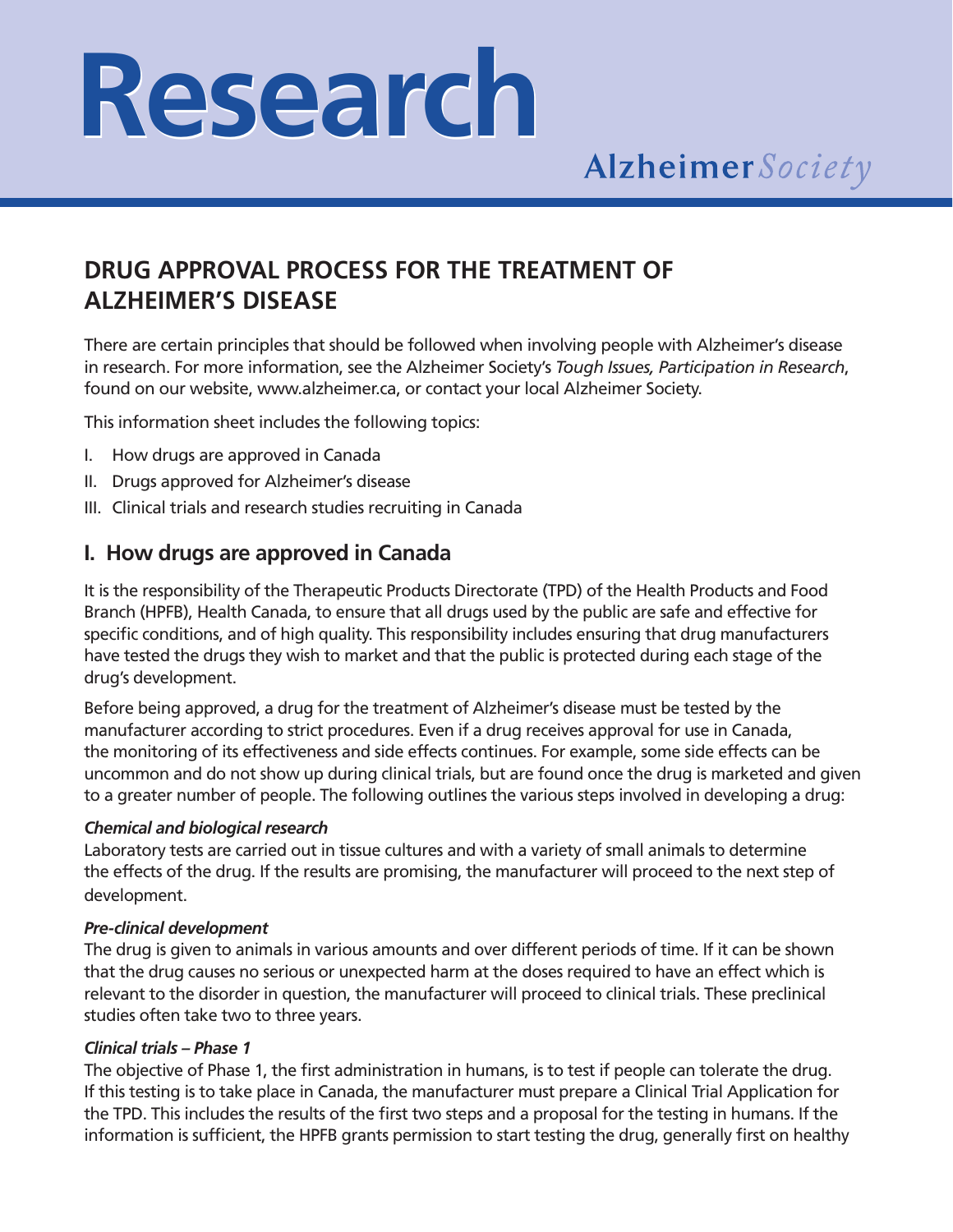# **Research Research**

# **DRUG APPROVAL PROCESS FOR THE TREATMENT OF ALZHEIMER'S DISEASE**

There are certain principles that should be followed when involving people with Alzheimer's disease in research. For more information, see the Alzheimer Society's *Tough Issues, Participation in Research*, found on our website, www.alzheimer.ca, or contact your local Alzheimer Society.

This information sheet includes the following topics:

- I. How drugs are approved in Canada
- II. Drugs approved for Alzheimer's disease
- III. Clinical trials and research studies recruiting in Canada

### **I. How drugs are approved in Canada**

It is the responsibility of the Therapeutic Products Directorate (TPD) of the Health Products and Food Branch (HPFB), Health Canada, to ensure that all drugs used by the public are safe and effective for specific conditions, and of high quality. This responsibility includes ensuring that drug manufacturers have tested the drugs they wish to market and that the public is protected during each stage of the drug's development.

Before being approved, a drug for the treatment of Alzheimer's disease must be tested by the manufacturer according to strict procedures. Even if a drug receives approval for use in Canada, the monitoring of its effectiveness and side effects continues. For example, some side effects can be uncommon and do not show up during clinical trials, but are found once the drug is marketed and given to a greater number of people. The following outlines the various steps involved in developing a drug:

#### *Chemical and biological research*

Laboratory tests are carried out in tissue cultures and with a variety of small animals to determine the effects of the drug. If the results are promising, the manufacturer will proceed to the next step of development.

#### *Pre-clinical development*

The drug is given to animals in various amounts and over different periods of time. If it can be shown that the drug causes no serious or unexpected harm at the doses required to have an effect which is relevant to the disorder in question, the manufacturer will proceed to clinical trials. These preclinical studies often take two to three years.

#### *Clinical trials – Phase 1*

The objective of Phase 1, the first administration in humans, is to test if people can tolerate the drug. If this testing is to take place in Canada, the manufacturer must prepare a Clinical Trial Application for the TPD. This includes the results of the first two steps and a proposal for the testing in humans. If the information is sufficient, the HPFB grants permission to start testing the drug, generally first on healthy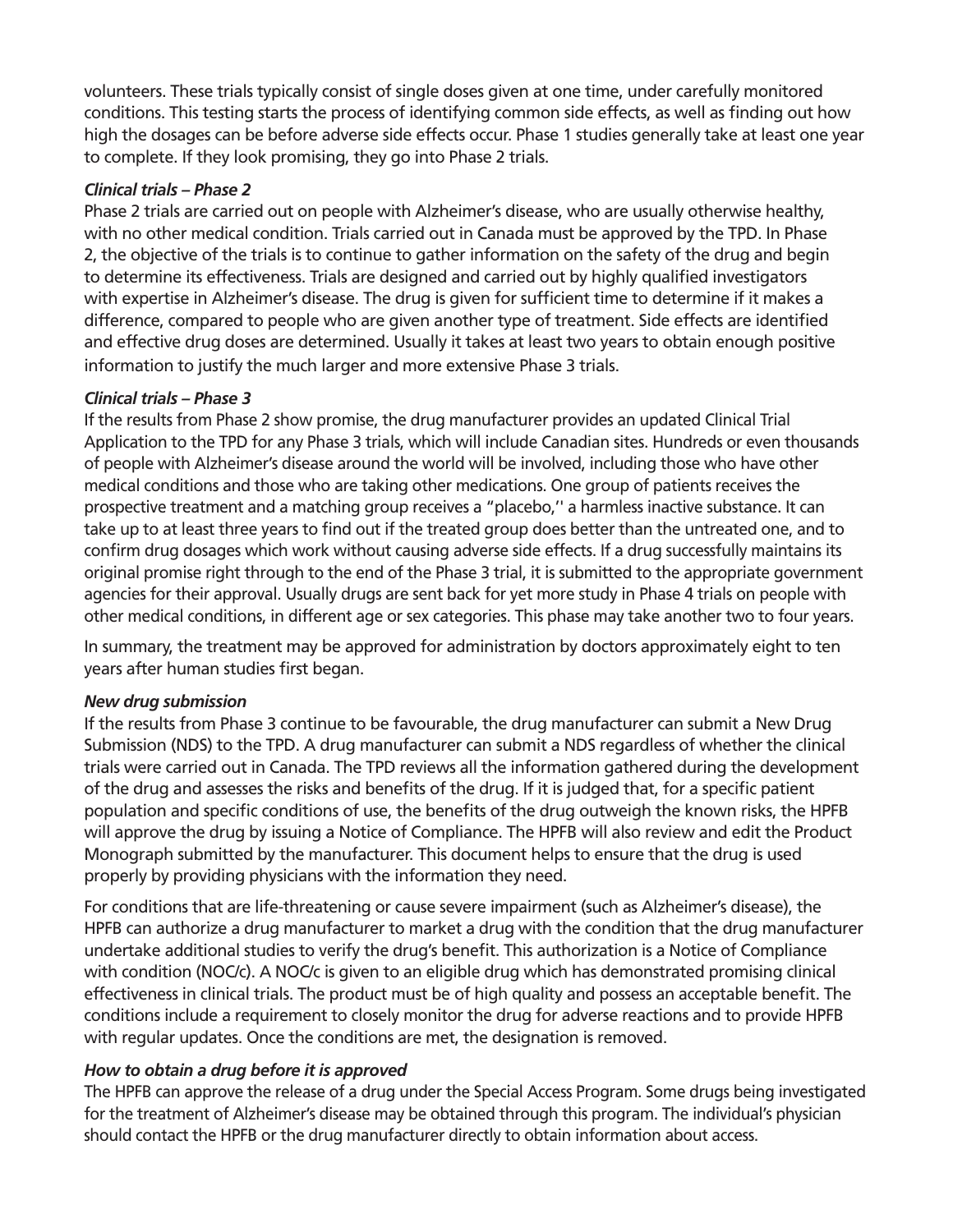volunteers. These trials typically consist of single doses given at one time, under carefully monitored conditions. This testing starts the process of identifying common side effects, as well as finding out how high the dosages can be before adverse side effects occur. Phase 1 studies generally take at least one year to complete. If they look promising, they go into Phase 2 trials.

#### *Clinical trials – Phase 2*

Phase 2 trials are carried out on people with Alzheimer's disease, who are usually otherwise healthy, with no other medical condition. Trials carried out in Canada must be approved by the TPD. In Phase 2, the objective of the trials is to continue to gather information on the safety of the drug and begin to determine its effectiveness. Trials are designed and carried out by highly qualified investigators with expertise in Alzheimer's disease. The drug is given for sufficient time to determine if it makes a difference, compared to people who are given another type of treatment. Side effects are identified and effective drug doses are determined. Usually it takes at least two years to obtain enough positive information to justify the much larger and more extensive Phase 3 trials.

#### *Clinical trials – Phase 3*

If the results from Phase 2 show promise, the drug manufacturer provides an updated Clinical Trial Application to the TPD for any Phase 3 trials, which will include Canadian sites. Hundreds or even thousands of people with Alzheimer's disease around the world will be involved, including those who have other medical conditions and those who are taking other medications. One group of patients receives the prospective treatment and a matching group receives a "placebo,'' a harmless inactive substance. It can take up to at least three years to find out if the treated group does better than the untreated one, and to confirm drug dosages which work without causing adverse side effects. If a drug successfully maintains its original promise right through to the end of the Phase 3 trial, it is submitted to the appropriate government agencies for their approval. Usually drugs are sent back for yet more study in Phase 4 trials on people with other medical conditions, in different age or sex categories. This phase may take another two to four years.

In summary, the treatment may be approved for administration by doctors approximately eight to ten years after human studies first began.

#### *New drug submission*

If the results from Phase 3 continue to be favourable, the drug manufacturer can submit a New Drug Submission (NDS) to the TPD. A drug manufacturer can submit a NDS regardless of whether the clinical trials were carried out in Canada. The TPD reviews all the information gathered during the development of the drug and assesses the risks and benefits of the drug. If it is judged that, for a specific patient population and specific conditions of use, the benefits of the drug outweigh the known risks, the HPFB will approve the drug by issuing a Notice of Compliance. The HPFB will also review and edit the Product Monograph submitted by the manufacturer. This document helps to ensure that the drug is used properly by providing physicians with the information they need.

For conditions that are life-threatening or cause severe impairment (such as Alzheimer's disease), the HPFB can authorize a drug manufacturer to market a drug with the condition that the drug manufacturer undertake additional studies to verify the drug's benefit. This authorization is a Notice of Compliance with condition (NOC/c). A NOC/c is given to an eligible drug which has demonstrated promising clinical effectiveness in clinical trials. The product must be of high quality and possess an acceptable benefit. The conditions include a requirement to closely monitor the drug for adverse reactions and to provide HPFB with regular updates. Once the conditions are met, the designation is removed.

#### *How to obtain a drug before it is approved*

The HPFB can approve the release of a drug under the Special Access Program. Some drugs being investigated for the treatment of Alzheimer's disease may be obtained through this program. The individual's physician should contact the HPFB or the drug manufacturer directly to obtain information about access.